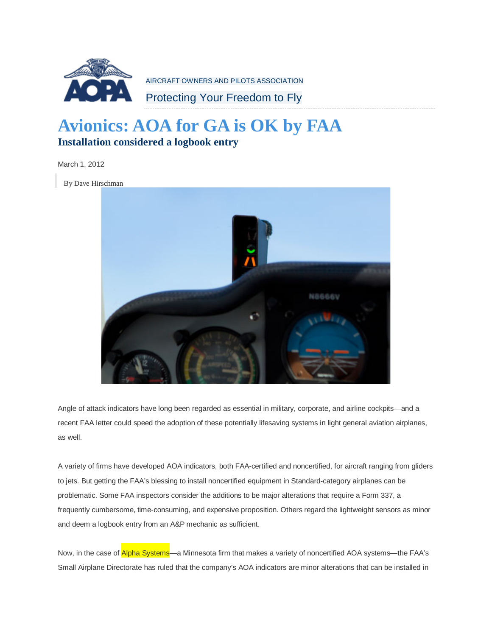

AIRCRAFT OWNERS AND PILOTS ASSOCIATION

Protecting Your Freedom to Fly

## **Avionics: AOA for GA is OK by FAA Installation considered a logbook entry**

March 1, 2012

By Dave Hirschman



Angle of attack indicators have long been regarded as essential in military, corporate, and airline cockpits—and a recent FAA letter could speed the adoption of these potentially lifesaving systems in light general aviation airplanes, as well.

A variety of firms have developed AOA indicators, both FAA-certified and noncertified, for aircraft ranging from gliders to jets. But getting the FAA's blessing to install noncertified equipment in Standard-category airplanes can be problematic. Some FAA inspectors consider the additions to be major alterations that require a Form 337, a frequently cumbersome, time-consuming, and expensive proposition. Others regard the lightweight sensors as minor and deem a logbook entry from an A&P mechanic as sufficient.

Now, in the case of Alpha Systems—a Minnesota firm that makes a variety of noncertified AOA systems—the FAA's Small Airplane Directorate has ruled that the company's AOA indicators are minor alterations that can be installed in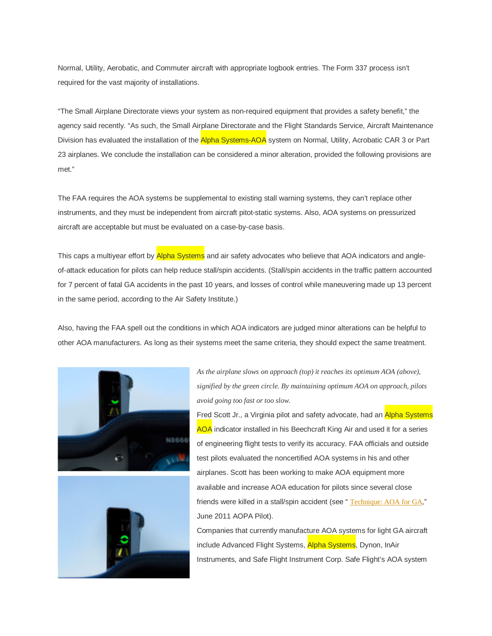Normal, Utility, Aerobatic, and Commuter aircraft with appropriate logbook entries. The Form 337 process isn't required for the vast majority of installations.

"The Small Airplane Directorate views your system as non-required equipment that provides a safety benefit," the agency said recently. "As such, the Small Airplane Directorate and the Flight Standards Service, Aircraft Maintenance Division has evaluated the installation of the Alpha Systems-AOA system on Normal, Utility, Acrobatic CAR 3 or Part 23 airplanes. We conclude the installation can be considered a minor alteration, provided the following provisions are met."

The FAA requires the AOA systems be supplemental to existing stall warning systems, they can't replace other instruments, and they must be independent from aircraft pitot-static systems. Also, AOA systems on pressurized aircraft are acceptable but must be evaluated on a case-by-case basis.

This caps a multiyear effort by Alpha Systems and air safety advocates who believe that AOA indicators and angleof-attack education for pilots can help reduce stall/spin accidents. (Stall/spin accidents in the traffic pattern accounted for 7 percent of fatal GA accidents in the past 10 years, and losses of control while maneuvering made up 13 percent in the same period, according to the Air Safety Institute.)

Also, having the FAA spell out the conditions in which AOA indicators are judged minor alterations can be helpful to other AOA manufacturers. As long as their systems meet the same criteria, they should expect the same treatment.





*As the airplane slows on approach (top) it reaches its optimum AOA (above), signified by the green circle. By maintaining optimum AOA on approach, pilots avoid going too fast or too slow.*

Fred Scott Jr., a Virginia pilot and safety advocate, had an Alpha Systems AOA indicator installed in his Beechcraft King Air and used it for a series of engineering flight tests to verify its accuracy. FAA officials and outside test pilots evaluated the noncertified AOA systems in his and other airplanes. Scott has been working to make AOA equipment more available and increase AOA education for pilots since several close friends were killed in a stall/spin accident (see "[Technique:](http://www.aopa.org/News-and-Video/All-News/2011/June/1/Technique-AOA-for-GA.aspx) AOA for GA," June 2011 AOPA Pilot).

Companies that currently manufacture AOA systems for light GA aircraft include Advanced Flight Systems, Alpha Systems, Dynon, InAir Instruments, and Safe Flight Instrument Corp. Safe Flight's AOA system